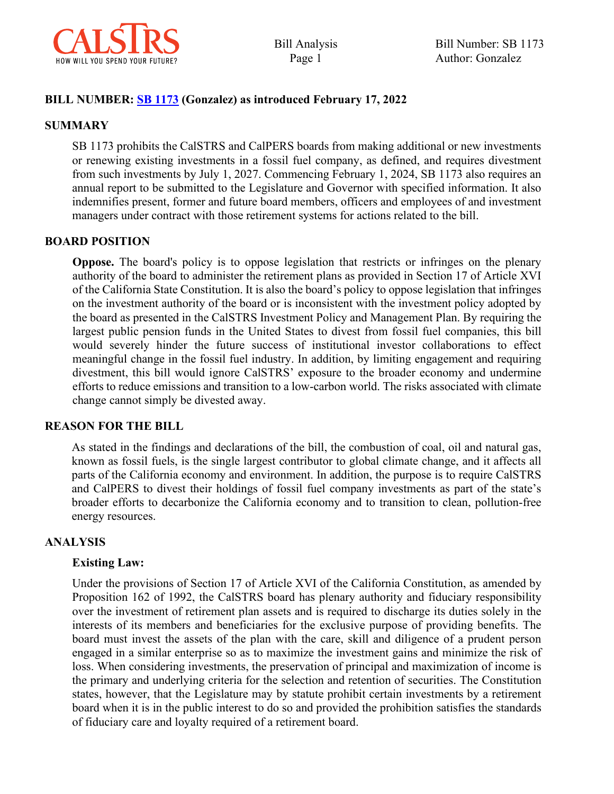

Bill Analysis Page 1

#### **BILL NUMBER: [SB 1173](https://leginfo.legislature.ca.gov/faces/billTextClient.xhtml?bill_id=202120220SB1173) (Gonzalez) as introduced February 17, 2022**

#### **SUMMARY**

SB 1173 prohibits the CalSTRS and CalPERS boards from making additional or new investments or renewing existing investments in a fossil fuel company, as defined, and requires divestment from such investments by July 1, 2027. Commencing February 1, 2024, SB 1173 also requires an annual report to be submitted to the Legislature and Governor with specified information. It also indemnifies present, former and future board members, officers and employees of and investment managers under contract with those retirement systems for actions related to the bill.

#### **BOARD POSITION**

**Oppose.** The board's policy is to oppose legislation that restricts or infringes on the plenary authority of the board to administer the retirement plans as provided in Section 17 of Article XVI of the California State Constitution. It is also the board's policy to oppose legislation that infringes on the investment authority of the board or is inconsistent with the investment policy adopted by the board as presented in the CalSTRS Investment Policy and Management Plan. By requiring the largest public pension funds in the United States to divest from fossil fuel companies, this bill would severely hinder the future success of institutional investor collaborations to effect meaningful change in the fossil fuel industry. In addition, by limiting engagement and requiring divestment, this bill would ignore CalSTRS' exposure to the broader economy and undermine efforts to reduce emissions and transition to a low-carbon world. The risks associated with climate change cannot simply be divested away.

#### **REASON FOR THE BILL**

As stated in the findings and declarations of the bill, the combustion of coal, oil and natural gas, known as fossil fuels, is the single largest contributor to global climate change, and it affects all parts of the California economy and environment. In addition, the purpose is to require CalSTRS and CalPERS to divest their holdings of fossil fuel company investments as part of the state's broader efforts to decarbonize the California economy and to transition to clean, pollution-free energy resources.

#### **ANALYSIS**

#### **Existing Law:**

Under the provisions of Section 17 of Article XVI of the California Constitution, as amended by Proposition 162 of 1992, the CalSTRS board has plenary authority and fiduciary responsibility over the investment of retirement plan assets and is required to discharge its duties solely in the interests of its members and beneficiaries for the exclusive purpose of providing benefits. The board must invest the assets of the plan with the care, skill and diligence of a prudent person engaged in a similar enterprise so as to maximize the investment gains and minimize the risk of loss. When considering investments, the preservation of principal and maximization of income is the primary and underlying criteria for the selection and retention of securities. The Constitution states, however, that the Legislature may by statute prohibit certain investments by a retirement board when it is in the public interest to do so and provided the prohibition satisfies the standards of fiduciary care and loyalty required of a retirement board.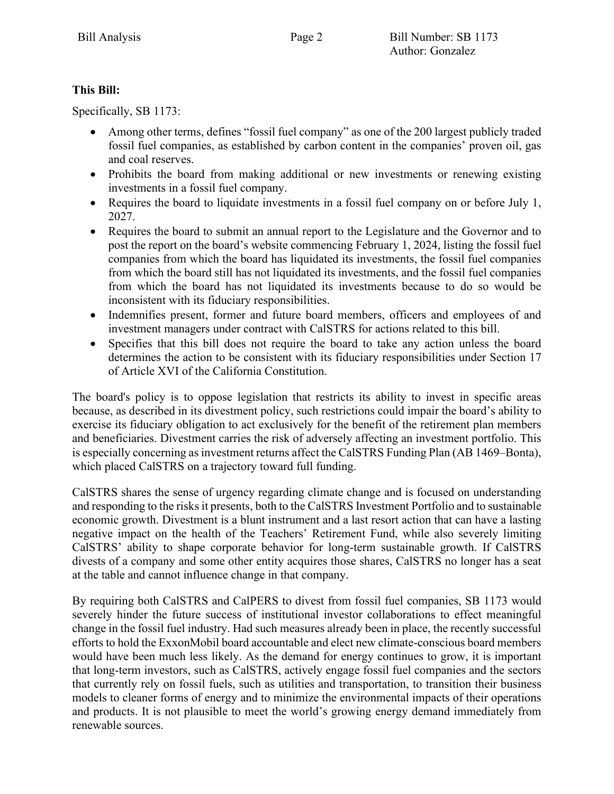## **This Bill:**

Specifically, SB 1173:

- Among other terms, defines "fossil fuel company" as one of the 200 largest publicly traded fossil fuel companies, as established by carbon content in the companies' proven oil, gas and coal reserves.
- Prohibits the board from making additional or new investments or renewing existing investments in a fossil fuel company.
- Requires the board to liquidate investments in a fossil fuel company on or before July 1, 2027.
- Requires the board to submit an annual report to the Legislature and the Governor and to post the report on the board's website commencing February 1, 2024, listing the fossil fuel companies from which the board has liquidated its investments, the fossil fuel companies from which the board still has not liquidated its investments, and the fossil fuel companies from which the board has not liquidated its investments because to do so would be inconsistent with its fiduciary responsibilities.
- Indemnifies present, former and future board members, officers and employees of and investment managers under contract with CalSTRS for actions related to this bill.
- Specifies that this bill does not require the board to take any action unless the board determines the action to be consistent with its fiduciary responsibilities under Section 17 of Article XVI of the California Constitution.

The board's policy is to oppose legislation that restricts its ability to invest in specific areas because, as described in its divestment policy, such restrictions could impair the board's ability to exercise its fiduciary obligation to act exclusively for the benefit of the retirement plan members and beneficiaries. Divestment carries the risk of adversely affecting an investment portfolio. This is especially concerning as investment returns affect the CalSTRS Funding Plan (AB 1469–Bonta), which placed CalSTRS on a trajectory toward full funding.

CalSTRS shares the sense of urgency regarding climate change and is focused on understanding and responding to the risks it presents, both to the CalSTRS Investment Portfolio and to sustainable economic growth. Divestment is a blunt instrument and a last resort action that can have a lasting negative impact on the health of the Teachers' Retirement Fund, while also severely limiting CalSTRS' ability to shape corporate behavior for long-term sustainable growth. If CalSTRS divests of a company and some other entity acquires those shares, CalSTRS no longer has a seat at the table and cannot influence change in that company.

By requiring both CalSTRS and CalPERS to divest from fossil fuel companies, SB 1173 would severely hinder the future success of institutional investor collaborations to effect meaningful change in the fossil fuel industry. Had such measures already been in place, the recently successful efforts to hold the ExxonMobil board accountable and elect new climate-conscious board members would have been much less likely. As the demand for energy continues to grow, it is important that long-term investors, such as CalSTRS, actively engage fossil fuel companies and the sectors that currently rely on fossil fuels, such as utilities and transportation, to transition their business models to cleaner forms of energy and to minimize the environmental impacts of their operations and products. It is not plausible to meet the world's growing energy demand immediately from renewable sources.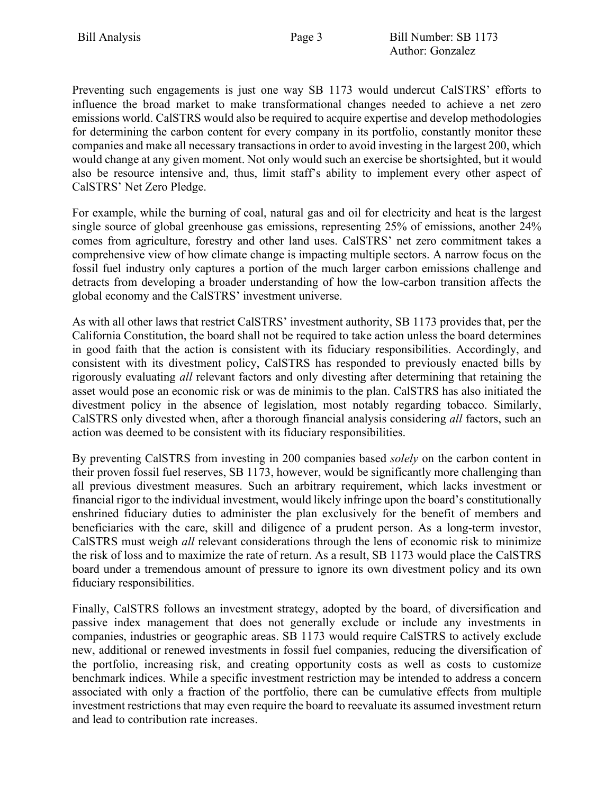Preventing such engagements is just one way SB 1173 would undercut CalSTRS' efforts to influence the broad market to make transformational changes needed to achieve a net zero emissions world. CalSTRS would also be required to acquire expertise and develop methodologies for determining the carbon content for every company in its portfolio, constantly monitor these companies and make all necessary transactions in order to avoid investing in the largest 200, which would change at any given moment. Not only would such an exercise be shortsighted, but it would also be resource intensive and, thus, limit staff's ability to implement every other aspect of CalSTRS' Net Zero Pledge.

For example, while the burning of coal, natural gas and oil for electricity and heat is the largest single source of global greenhouse gas emissions, representing 25% of emissions, another 24% comes from agriculture, forestry and other land uses. CalSTRS' net zero commitment takes a comprehensive view of how climate change is impacting multiple sectors. A narrow focus on the fossil fuel industry only captures a portion of the much larger carbon emissions challenge and detracts from developing a broader understanding of how the low-carbon transition affects the global economy and the CalSTRS' investment universe.

As with all other laws that restrict CalSTRS' investment authority, SB 1173 provides that, per the California Constitution, the board shall not be required to take action unless the board determines in good faith that the action is consistent with its fiduciary responsibilities. Accordingly, and consistent with its divestment policy, CalSTRS has responded to previously enacted bills by rigorously evaluating *all* relevant factors and only divesting after determining that retaining the asset would pose an economic risk or was de minimis to the plan. CalSTRS has also initiated the divestment policy in the absence of legislation, most notably regarding tobacco. Similarly, CalSTRS only divested when, after a thorough financial analysis considering *all* factors, such an action was deemed to be consistent with its fiduciary responsibilities.

By preventing CalSTRS from investing in 200 companies based *solely* on the carbon content in their proven fossil fuel reserves, SB 1173, however, would be significantly more challenging than all previous divestment measures. Such an arbitrary requirement, which lacks investment or financial rigor to the individual investment, would likely infringe upon the board's constitutionally enshrined fiduciary duties to administer the plan exclusively for the benefit of members and beneficiaries with the care, skill and diligence of a prudent person. As a long-term investor, CalSTRS must weigh *all* relevant considerations through the lens of economic risk to minimize the risk of loss and to maximize the rate of return. As a result, SB 1173 would place the CalSTRS board under a tremendous amount of pressure to ignore its own divestment policy and its own fiduciary responsibilities.

Finally, CalSTRS follows an investment strategy, adopted by the board, of diversification and passive index management that does not generally exclude or include any investments in companies, industries or geographic areas. SB 1173 would require CalSTRS to actively exclude new, additional or renewed investments in fossil fuel companies, reducing the diversification of the portfolio, increasing risk, and creating opportunity costs as well as costs to customize benchmark indices. While a specific investment restriction may be intended to address a concern associated with only a fraction of the portfolio, there can be cumulative effects from multiple investment restrictions that may even require the board to reevaluate its assumed investment return and lead to contribution rate increases.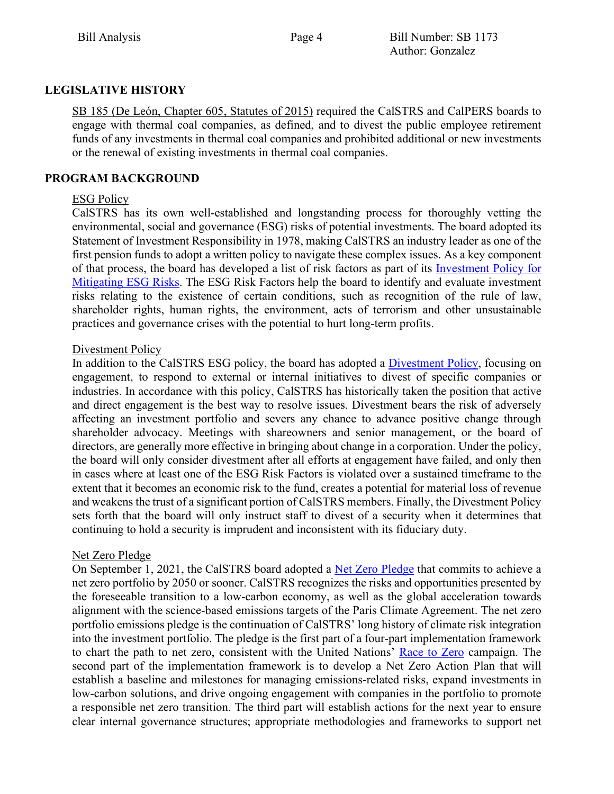## **LEGISLATIVE HISTORY**

SB 185 (De León, Chapter 605, Statutes of 2015) required the CalSTRS and CalPERS boards to engage with thermal coal companies, as defined, and to divest the public employee retirement funds of any investments in thermal coal companies and prohibited additional or new investments or the renewal of existing investments in thermal coal companies.

## **PROGRAM BACKGROUND**

## ESG Policy

CalSTRS has its own well-established and longstanding process for thoroughly vetting the environmental, social and governance (ESG) risks of potential investments. The board adopted its Statement of Investment Responsibility in 1978, making CalSTRS an industry leader as one of the first pension funds to adopt a written policy to navigate these complex issues. As a key component of that process, the board has developed a list of risk factors as part of its [Investment Policy for](https://www.calstrs.com/sites/main/files/file-attachments/calstrs_esg_policy.pdf?1544651199)  [Mitigating ESG Risks.](https://www.calstrs.com/sites/main/files/file-attachments/calstrs_esg_policy.pdf?1544651199) The ESG Risk Factors help the board to identify and evaluate investment risks relating to the existence of certain conditions, such as recognition of the rule of law, shareholder rights, human rights, the environment, acts of terrorism and other unsustainable practices and governance crises with the potential to hurt long-term profits.

## Divestment Policy

In addition to the CalSTRS ESG policy, the board has adopted a [Divestment Policy,](https://www.calstrs.com/sites/main/files/file-attachments/m_-_divestment_policy.pdf) focusing on engagement, to respond to external or internal initiatives to divest of specific companies or industries. In accordance with this policy, CalSTRS has historically taken the position that active and direct engagement is the best way to resolve issues. Divestment bears the risk of adversely affecting an investment portfolio and severs any chance to advance positive change through shareholder advocacy. Meetings with shareowners and senior management, or the board of directors, are generally more effective in bringing about change in a corporation. Under the policy, the board will only consider divestment after all efforts at engagement have failed, and only then in cases where at least one of the ESG Risk Factors is violated over a sustained timeframe to the extent that it becomes an economic risk to the fund, creates a potential for material loss of revenue and weakens the trust of a significant portion of CalSTRS members. Finally, the Divestment Policy sets forth that the board will only instruct staff to divest of a security when it determines that continuing to hold a security is imprudent and inconsistent with its fiduciary duty.

## Net Zero Pledge

On September 1, 2021, the CalSTRS board adopted a [Net Zero Pledge](https://www.calstrs.com/path-net-zero) that commits to achieve a net zero portfolio by 2050 or sooner. CalSTRS recognizes the risks and opportunities presented by the foreseeable transition to a low-carbon economy, as well as the global acceleration towards alignment with the science-based emissions targets of the Paris Climate Agreement. The net zero portfolio emissions pledge is the continuation of CalSTRS' long history of climate risk integration into the investment portfolio. The pledge is the first part of a four-part implementation framework to chart the path to net zero, consistent with the United Nations' [Race to Zero](https://unfccc.int/climate-action/race-to-zero-campaign) campaign. The second part of the implementation framework is to develop a Net Zero Action Plan that will establish a baseline and milestones for managing emissions-related risks, expand investments in low-carbon solutions, and drive ongoing engagement with companies in the portfolio to promote a responsible net zero transition. The third part will establish actions for the next year to ensure clear internal governance structures; appropriate methodologies and frameworks to support net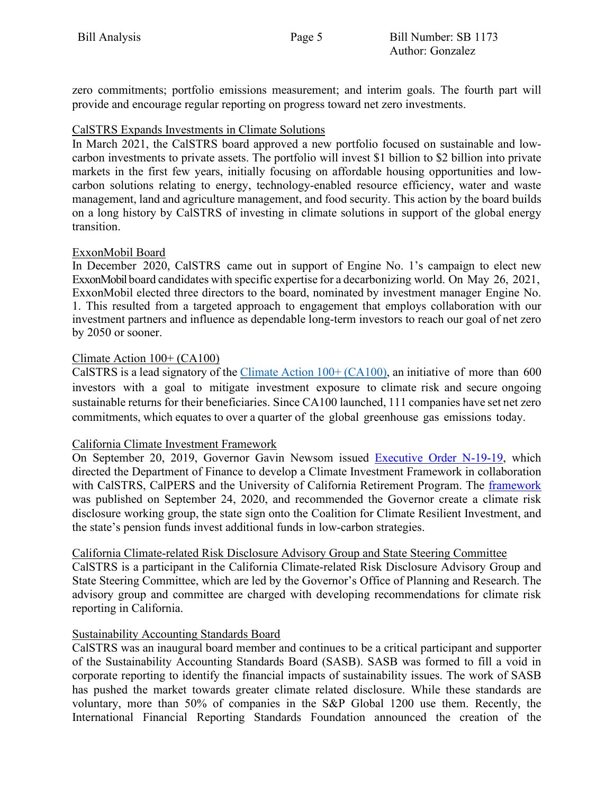zero commitments; portfolio emissions measurement; and interim goals. The fourth part will provide and encourage regular reporting on progress toward net zero investments.

## CalSTRS Expands Investments in Climate Solutions

In March 2021, the CalSTRS board approved a new portfolio focused on sustainable and lowcarbon investments to private assets. The portfolio will invest \$1 billion to \$2 billion into private markets in the first few years, initially focusing on affordable housing opportunities and lowcarbon solutions relating to energy, technology-enabled resource efficiency, water and waste management, land and agriculture management, and food security. This action by the board builds on a long history by CalSTRS of investing in climate solutions in support of the global energy transition.

## ExxonMobil Board

In December 2020, CalSTRS came out in support of Engine No. 1's campaign to elect new ExxonMobil board candidates with specific expertise for a decarbonizing world. On May 26, 2021, ExxonMobil elected three directors to the board, nominated by investment manager Engine No. 1. This resulted from a targeted approach to engagement that employs collaboration with our investment partners and influence as dependable long-term investors to reach our goal of net zero by 2050 or sooner.

## Climate Action 100+ (CA100)

CalSTRS is a lead signatory of the Climate Action  $100+$  (CA100), an initiative of more than 600 investors with a goal to mitigate investment exposure to climate risk and secure ongoing sustainable returns for their beneficiaries. Since CA100 launched, 111 companies have set net zero commitments, which equates to over a quarter of the global greenhouse gas emissions today.

## California Climate Investment Framework

On September 20, 2019, Governor Gavin Newsom issued [Executive Order N-19-19,](https://www.gov.ca.gov/wp-content/uploads/2019/09/9.20.19-Climate-EO-N-19-19.pdf) which directed the Department of Finance to develop a Climate Investment Framework in collaboration with CalSTRS, CalPERS and the University of California Retirement Program. The [framework](https://dof.ca.gov/Reports/Other/documents/Climate_Investment_Framework_Final_v9-21-20-600pm.pdf) was published on September 24, 2020, and recommended the Governor create a climate risk disclosure working group, the state sign onto the Coalition for Climate Resilient Investment, and the state's pension funds invest additional funds in low-carbon strategies.

#### California Climate-related Risk Disclosure Advisory Group and State Steering Committee

CalSTRS is a participant in the California Climate-related Risk Disclosure Advisory Group and State Steering Committee, which are led by the Governor's Office of Planning and Research. The advisory group and committee are charged with developing recommendations for climate risk reporting in California.

## Sustainability Accounting Standards Board

CalSTRS was an inaugural board member and continues to be a critical participant and supporter of the Sustainability Accounting Standards Board (SASB). SASB was formed to fill a void in corporate reporting to identify the financial impacts of sustainability issues. The work of SASB has pushed the market towards greater climate related disclosure. While these standards are voluntary, more than 50% of companies in the S&P Global 1200 use them. Recently, the International Financial Reporting Standards Foundation announced the creation of the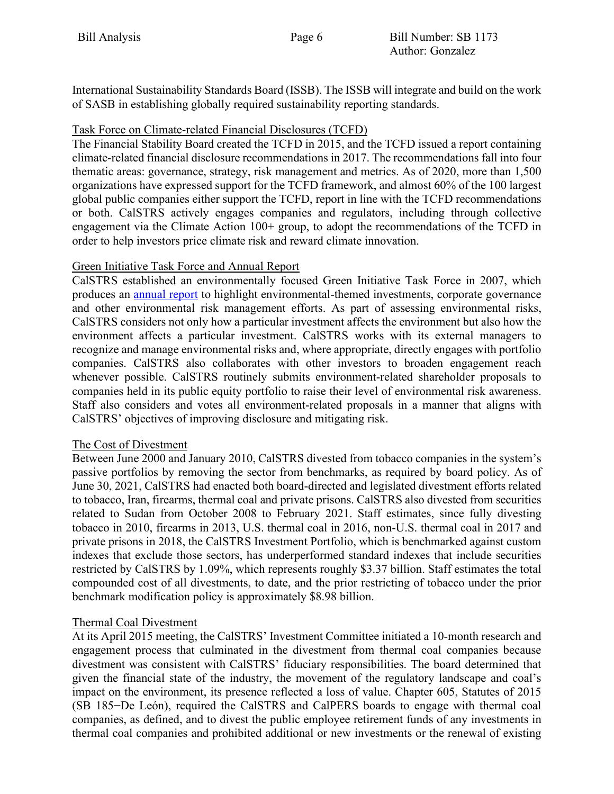International Sustainability Standards Board (ISSB). The ISSB will integrate and build on the work of SASB in establishing globally required sustainability reporting standards.

## Task Force on Climate-related Financial Disclosures (TCFD)

The Financial Stability Board created the TCFD in 2015, and the TCFD issued a report containing climate-related financial disclosure recommendations in 2017. The recommendations fall into four thematic areas: governance, strategy, risk management and metrics. As of 2020, more than 1,500 organizations have expressed support for the TCFD framework, and almost 60% of the 100 largest global public companies either support the TCFD, report in line with the TCFD recommendations or both. CalSTRS actively engages companies and regulators, including through collective engagement via the Climate Action 100+ group, to adopt the recommendations of the TCFD in order to help investors price climate risk and reward climate innovation.

## Green Initiative Task Force and Annual Report

CalSTRS established an environmentally focused Green Initiative Task Force in 2007, which produces an [annual report](https://www.calstrs.com/report/green-initiative-task-force) to highlight environmental-themed investments, corporate governance and other environmental risk management efforts. As part of assessing environmental risks, CalSTRS considers not only how a particular investment affects the environment but also how the environment affects a particular investment. CalSTRS works with its external managers to recognize and manage environmental risks and, where appropriate, directly engages with portfolio companies. CalSTRS also collaborates with other investors to broaden engagement reach whenever possible. CalSTRS routinely submits environment-related shareholder proposals to companies held in its public equity portfolio to raise their level of environmental risk awareness. Staff also considers and votes all environment-related proposals in a manner that aligns with CalSTRS' objectives of improving disclosure and mitigating risk.

## The Cost of Divestment

Between June 2000 and January 2010, CalSTRS divested from tobacco companies in the system's passive portfolios by removing the sector from benchmarks, as required by board policy. As of June 30, 2021, CalSTRS had enacted both board-directed and legislated divestment efforts related to tobacco, Iran, firearms, thermal coal and private prisons. CalSTRS also divested from securities related to Sudan from October 2008 to February 2021. Staff estimates, since fully divesting tobacco in 2010, firearms in 2013, U.S. thermal coal in 2016, non-U.S. thermal coal in 2017 and private prisons in 2018, the CalSTRS Investment Portfolio, which is benchmarked against custom indexes that exclude those sectors, has underperformed standard indexes that include securities restricted by CalSTRS by 1.09%, which represents roughly \$3.37 billion. Staff estimates the total compounded cost of all divestments, to date, and the prior restricting of tobacco under the prior benchmark modification policy is approximately \$8.98 billion.

# Thermal Coal Divestment

At its April 2015 meeting, the CalSTRS' Investment Committee initiated a 10-month research and engagement process that culminated in the divestment from thermal coal companies because divestment was consistent with CalSTRS' fiduciary responsibilities. The board determined that given the financial state of the industry, the movement of the regulatory landscape and coal's impact on the environment, its presence reflected a loss of value. Chapter 605, Statutes of 2015 (SB 185−De León), required the CalSTRS and CalPERS boards to engage with thermal coal companies, as defined, and to divest the public employee retirement funds of any investments in thermal coal companies and prohibited additional or new investments or the renewal of existing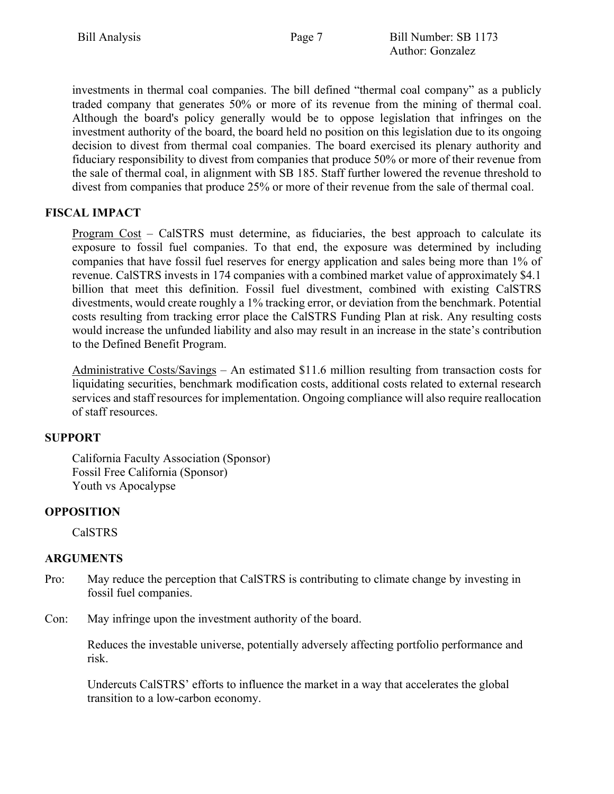investments in thermal coal companies. The bill defined "thermal coal company" as a publicly traded company that generates 50% or more of its revenue from the mining of thermal coal. Although the board's policy generally would be to oppose legislation that infringes on the investment authority of the board, the board held no position on this legislation due to its ongoing decision to divest from thermal coal companies. The board exercised its plenary authority and fiduciary responsibility to divest from companies that produce 50% or more of their revenue from the sale of thermal coal, in alignment with SB 185. Staff further lowered the revenue threshold to divest from companies that produce 25% or more of their revenue from the sale of thermal coal.

# **FISCAL IMPACT**

Program Cost – CalSTRS must determine, as fiduciaries, the best approach to calculate its exposure to fossil fuel companies. To that end, the exposure was determined by including companies that have fossil fuel reserves for energy application and sales being more than 1% of revenue. CalSTRS invests in 174 companies with a combined market value of approximately \$4.1 billion that meet this definition. Fossil fuel divestment, combined with existing CalSTRS divestments, would create roughly a 1% tracking error, or deviation from the benchmark. Potential costs resulting from tracking error place the CalSTRS Funding Plan at risk. Any resulting costs would increase the unfunded liability and also may result in an increase in the state's contribution to the Defined Benefit Program.

Administrative Costs/Savings – An estimated \$11.6 million resulting from transaction costs for liquidating securities, benchmark modification costs, additional costs related to external research services and staff resources for implementation. Ongoing compliance will also require reallocation of staff resources.

## **SUPPORT**

California Faculty Association (Sponsor) Fossil Free California (Sponsor) Youth vs Apocalypse

# **OPPOSITION**

CalSTRS

## **ARGUMENTS**

- Pro: May reduce the perception that CalSTRS is contributing to climate change by investing in fossil fuel companies.
- Con: May infringe upon the investment authority of the board.

Reduces the investable universe, potentially adversely affecting portfolio performance and risk.

Undercuts CalSTRS' efforts to influence the market in a way that accelerates the global transition to a low-carbon economy.